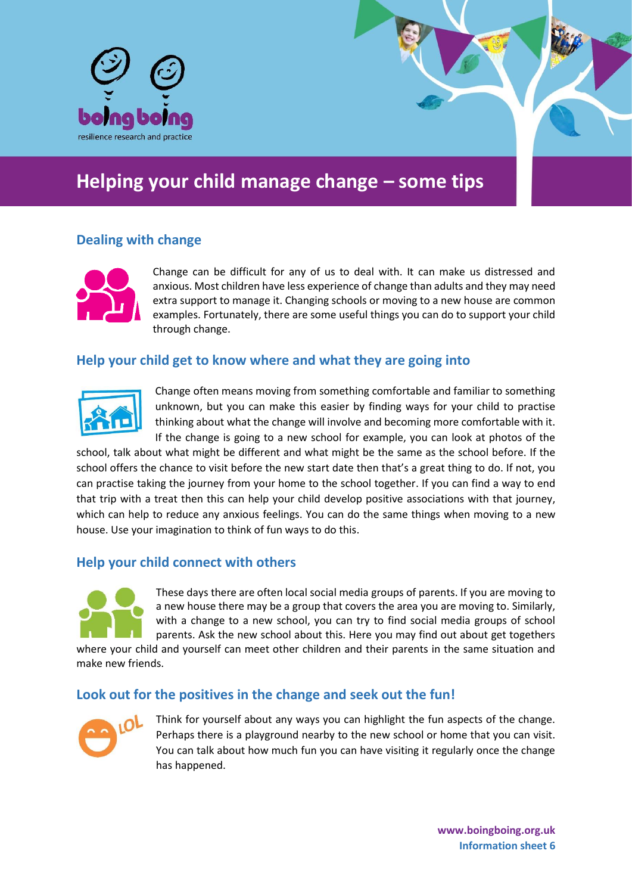

# **Helping your child manage change – some tips**

## **Dealing with change**



Change can be difficult for any of us to deal with. It can make us distressed and anxious. Most children have less experience of change than adults and they may need extra support to manage it. Changing schools or moving to a new house are common examples. Fortunately, there are some useful things you can do to support your child through change.

### **Help your child get to know where and what they are going into**



Change often means moving from something comfortable and familiar to something unknown, but you can make this easier by finding ways for your child to practise thinking about what the change will involve and becoming more comfortable with it. If the change is going to a new school for example, you can look at photos of the

school, talk about what might be different and what might be the same as the school before. If the school offers the chance to visit before the new start date then that's a great thing to do. If not, you can practise taking the journey from your home to the school together. If you can find a way to end that trip with a treat then this can help your child develop positive associations with that journey, which can help to reduce any anxious feelings. You can do the same things when moving to a new house. Use your imagination to think of fun ways to do this.

#### **Help your child connect with others**



These days there are often local social media groups of parents. If you are moving to a new house there may be a group that covers the area you are moving to. Similarly, with a change to a new school, you can try to find social media groups of school parents. Ask the new school about this. Here you may find out about get togethers

where your child and yourself can meet other children and their parents in the same situation and make new friends.

#### **Look out for the positives in the change and seek out the fun!**



Think for yourself about any ways you can highlight the fun aspects of the change. Perhaps there is a playground nearby to the new school or home that you can visit. You can talk about how much fun you can have visiting it regularly once the change has happened.